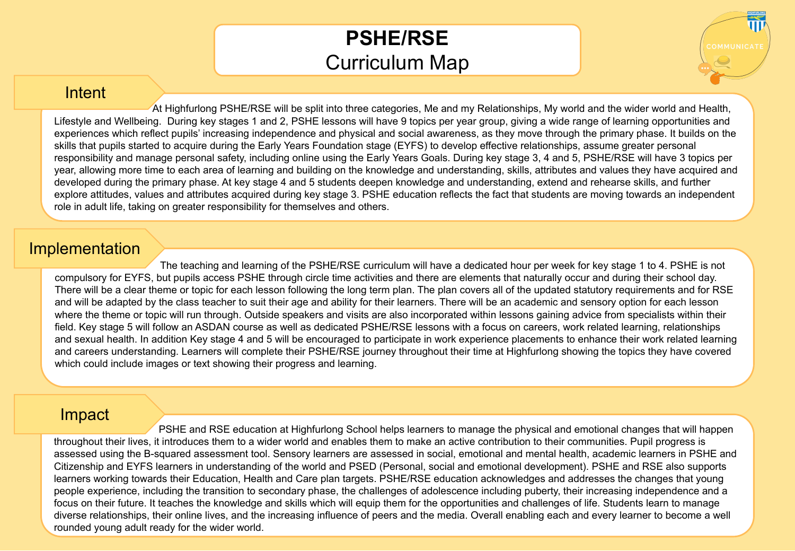## **PSHE/RSE** Curriculum Map

## **Intent**

 At Highfurlong PSHE/RSE will be split into three categories, Me and my Relationships, My world and the wider world and Health, Lifestyle and Wellbeing. During key stages 1 and 2, PSHE lessons will have 9 topics per year group, giving a wide range of learning opportunities and experiences which reflect pupils' increasing independence and physical and social awareness, as they move through the primary phase. It builds on the skills that pupils started to acquire during the Early Years Foundation stage (EYFS) to develop effective relationships, assume greater personal responsibility and manage personal safety, including online using the Early Years Goals. During key stage 3, 4 and 5, PSHE/RSE will have 3 topics per year, allowing more time to each area of learning and building on the knowledge and understanding, skills, attributes and values they have acquired and developed during the primary phase. At key stage 4 and 5 students deepen knowledge and understanding, extend and rehearse skills, and further explore attitudes, values and attributes acquired during key stage 3. PSHE education reflects the fact that students are moving towards an independent role in adult life, taking on greater responsibility for themselves and others.

## Implementation

 The teaching and learning of the PSHE/RSE curriculum will have a dedicated hour per week for key stage 1 to 4. PSHE is not compulsory for EYFS, but pupils access PSHE through circle time activities and there are elements that naturally occur and during their school day. There will be a clear theme or topic for each lesson following the long term plan. The plan covers all of the updated statutory requirements and for RSE and will be adapted by the class teacher to suit their age and ability for their learners. There will be an academic and sensory option for each lesson where the theme or topic will run through. Outside speakers and visits are also incorporated within lessons gaining advice from specialists within their field. Key stage 5 will follow an ASDAN course as well as dedicated PSHE/RSE lessons with a focus on careers, work related learning, relationships and sexual health. In addition Key stage 4 and 5 will be encouraged to participate in work experience placements to enhance their work related learning and careers understanding. Learners will complete their PSHE/RSE journey throughout their time at Highfurlong showing the topics they have covered which could include images or text showing their progress and learning.

## Impact

 PSHE and RSE education at Highfurlong School helps learners to manage the physical and emotional changes that will happen throughout their lives, it introduces them to a wider world and enables them to make an active contribution to their communities. Pupil progress is assessed using the B-squared assessment tool. Sensory learners are assessed in social, emotional and mental health, academic learners in PSHE and Citizenship and EYFS learners in understanding of the world and PSED (Personal, social and emotional development). PSHE and RSE also supports learners working towards their Education, Health and Care plan targets. PSHE/RSE education acknowledges and addresses the changes that young people experience, including the transition to secondary phase, the challenges of adolescence including puberty, their increasing independence and a focus on their future. It teaches the knowledge and skills which will equip them for the opportunities and challenges of life. Students learn to manage diverse relationships, their online lives, and the increasing influence of peers and the media. Overall enabling each and every learner to become a well rounded young adult ready for the wider world.